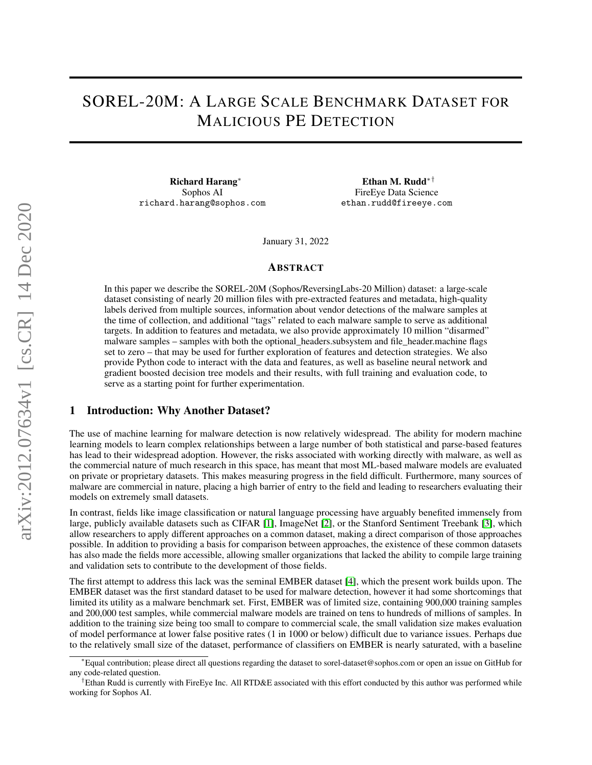# SOREL-20M: A LARGE SCALE BENCHMARK DATASET FOR MALICIOUS PE DETECTION

Richard Harang<sup>∗</sup> Sophos AI richard.harang@sophos.com

Ethan M. Rudd∗† FireEye Data Science ethan.rudd@fireeye.com

January 31, 2022

#### ABSTRACT

In this paper we describe the SOREL-20M (Sophos/ReversingLabs-20 Million) dataset: a large-scale dataset consisting of nearly 20 million files with pre-extracted features and metadata, high-quality labels derived from multiple sources, information about vendor detections of the malware samples at the time of collection, and additional "tags" related to each malware sample to serve as additional targets. In addition to features and metadata, we also provide approximately 10 million "disarmed" malware samples – samples with both the optional headers.subsystem and file header.machine flags set to zero – that may be used for further exploration of features and detection strategies. We also provide Python code to interact with the data and features, as well as baseline neural network and gradient boosted decision tree models and their results, with full training and evaluation code, to serve as a starting point for further experimentation.

### 1 Introduction: Why Another Dataset?

The use of machine learning for malware detection is now relatively widespread. The ability for modern machine learning models to learn complex relationships between a large number of both statistical and parse-based features has lead to their widespread adoption. However, the risks associated with working directly with malware, as well as the commercial nature of much research in this space, has meant that most ML-based malware models are evaluated on private or proprietary datasets. This makes measuring progress in the field difficult. Furthermore, many sources of malware are commercial in nature, placing a high barrier of entry to the field and leading to researchers evaluating their models on extremely small datasets.

In contrast, fields like image classification or natural language processing have arguably benefited immensely from large, publicly available datasets such as CIFAR [\[1\]](#page-4-0), ImageNet [\[2\]](#page-4-1), or the Stanford Sentiment Treebank [\[3\]](#page-4-2), which allow researchers to apply different approaches on a common dataset, making a direct comparison of those approaches possible. In addition to providing a basis for comparison between approaches, the existence of these common datasets has also made the fields more accessible, allowing smaller organizations that lacked the ability to compile large training and validation sets to contribute to the development of those fields.

The first attempt to address this lack was the seminal EMBER dataset [\[4\]](#page-5-0), which the present work builds upon. The EMBER dataset was the first standard dataset to be used for malware detection, however it had some shortcomings that limited its utility as a malware benchmark set. First, EMBER was of limited size, containing 900,000 training samples and 200,000 test samples, while commercial malware models are trained on tens to hundreds of millions of samples. In addition to the training size being too small to compare to commercial scale, the small validation size makes evaluation of model performance at lower false positive rates (1 in 1000 or below) difficult due to variance issues. Perhaps due to the relatively small size of the dataset, performance of classifiers on EMBER is nearly saturated, with a baseline

<sup>∗</sup>Equal contribution; please direct all questions regarding the dataset to sorel-dataset@sophos.com or open an issue on GitHub for any code-related question.

<sup>†</sup>Ethan Rudd is currently with FireEye Inc. All RTD&E associated with this effort conducted by this author was performed while working for Sophos AI.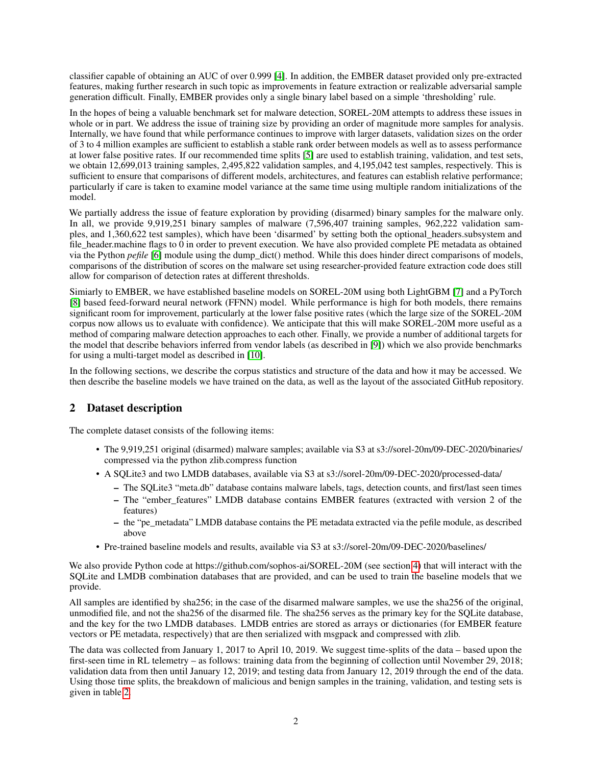classifier capable of obtaining an AUC of over 0.999 [\[4\]](#page-5-0). In addition, the EMBER dataset provided only pre-extracted features, making further research in such topic as improvements in feature extraction or realizable adversarial sample generation difficult. Finally, EMBER provides only a single binary label based on a simple 'thresholding' rule.

In the hopes of being a valuable benchmark set for malware detection, SOREL-20M attempts to address these issues in whole or in part. We address the issue of training size by providing an order of magnitude more samples for analysis. Internally, we have found that while performance continues to improve with larger datasets, validation sizes on the order of 3 to 4 million examples are sufficient to establish a stable rank order between models as well as to assess performance at lower false positive rates. If our recommended time splits [\[5\]](#page-5-1) are used to establish training, validation, and test sets, we obtain 12,699,013 training samples, 2,495,822 validation samples, and 4,195,042 test samples, respectively. This is sufficient to ensure that comparisons of different models, architectures, and features can establish relative performance; particularly if care is taken to examine model variance at the same time using multiple random initializations of the model.

We partially address the issue of feature exploration by providing (disarmed) binary samples for the malware only. In all, we provide 9,919,251 binary samples of malware (7,596,407 training samples, 962,222 validation samples, and 1,360,622 test samples), which have been 'disarmed' by setting both the optional\_headers.subsystem and file\_header.machine flags to  $\overline{0}$  in order to prevent execution. We have also provided complete PE metadata as obtained via the Python *pefile* [\[6\]](#page-5-2) module using the dump\_dict() method. While this does hinder direct comparisons of models, comparisons of the distribution of scores on the malware set using researcher-provided feature extraction code does still allow for comparison of detection rates at different thresholds.

Simiarly to EMBER, we have established baseline models on SOREL-20M using both LightGBM [\[7\]](#page-5-3) and a PyTorch [\[8\]](#page-5-4) based feed-forward neural network (FFNN) model. While performance is high for both models, there remains significant room for improvement, particularly at the lower false positive rates (which the large size of the SOREL-20M corpus now allows us to evaluate with confidence). We anticipate that this will make SOREL-20M more useful as a method of comparing malware detection approaches to each other. Finally, we provide a number of additional targets for the model that describe behaviors inferred from vendor labels (as described in [\[9\]](#page-5-5)) which we also provide benchmarks for using a multi-target model as described in [\[10\]](#page-5-6).

In the following sections, we describe the corpus statistics and structure of the data and how it may be accessed. We then describe the baseline models we have trained on the data, as well as the layout of the associated GitHub repository.

# <span id="page-1-0"></span>2 Dataset description

The complete dataset consists of the following items:

- The 9,919,251 original (disarmed) malware samples; available via S3 at s3://sorel-20m/09-DEC-2020/binaries/ compressed via the python zlib.compress function
- A SQLite3 and two LMDB databases, available via S3 at s3://sorel-20m/09-DEC-2020/processed-data/
	- The SQLite3 "meta.db" database contains malware labels, tags, detection counts, and first/last seen times – The "ember features" LMDB database contains EMBER features (extracted with version 2 of the features)
	- the "pe\_metadata" LMDB database contains the PE metadata extracted via the pefile module, as described above
- Pre-trained baseline models and results, available via S3 at s3://sorel-20m/09-DEC-2020/baselines/

We also provide Python code at https://github.com/sophos-ai/SOREL-20M (see section [4\)](#page-3-0) that will interact with the SQLite and LMDB combination databases that are provided, and can be used to train the baseline models that we provide.

All samples are identified by sha256; in the case of the disarmed malware samples, we use the sha256 of the original, unmodified file, and not the sha256 of the disarmed file. The sha256 serves as the primary key for the SQLite database, and the key for the two LMDB databases. LMDB entries are stored as arrays or dictionaries (for EMBER feature vectors or PE metadata, respectively) that are then serialized with msgpack and compressed with zlib.

The data was collected from January 1, 2017 to April 10, 2019. We suggest time-splits of the data – based upon the first-seen time in RL telemetry – as follows: training data from the beginning of collection until November 29, 2018; validation data from then until January 12, 2019; and testing data from January 12, 2019 through the end of the data. Using those time splits, the breakdown of malicious and benign samples in the training, validation, and testing sets is given in table [2.](#page-1-0)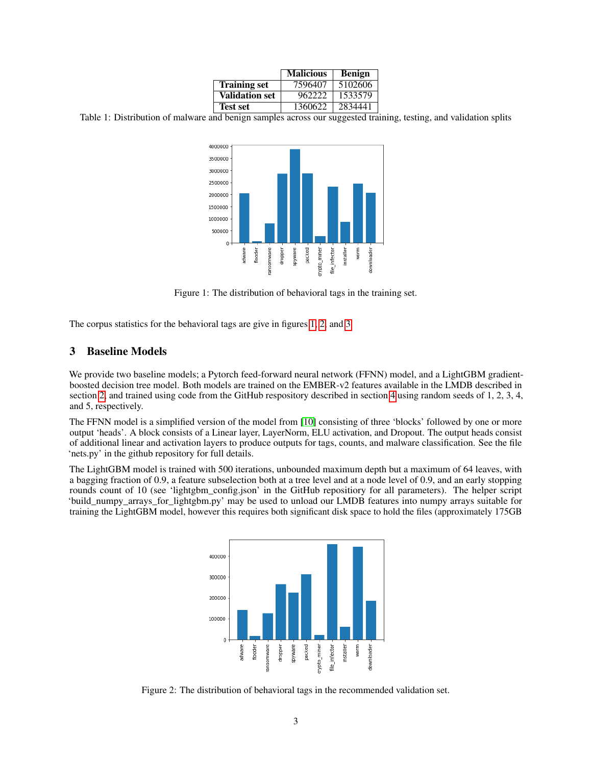|                       | <b>Malicious</b> | <b>Benign</b> |
|-----------------------|------------------|---------------|
| <b>Training set</b>   | 7596407          | 5102606       |
| <b>Validation set</b> | 962222           | 1533579       |
| <b>Test set</b>       | 1360622          | 2834441       |

Table 1: Distribution of malware and benign samples across our suggested training, testing, and validation splits



<span id="page-2-0"></span>Figure 1: The distribution of behavioral tags in the training set.

The corpus statistics for the behavioral tags are give in figures [1,](#page-2-0) [2,](#page-2-1) and [3.](#page-3-1)

## <span id="page-2-2"></span>3 Baseline Models

We provide two baseline models; a Pytorch feed-forward neural network (FFNN) model, and a LightGBM gradientboosted decision tree model. Both models are trained on the EMBER-v2 features available in the LMDB described in section [2,](#page-1-0) and trained using code from the GitHub respository described in section [4](#page-3-0) using random seeds of 1, 2, 3, 4, and 5, respectively.

The FFNN model is a simplified version of the model from [\[10\]](#page-5-6) consisting of three 'blocks' followed by one or more output 'heads'. A block consists of a Linear layer, LayerNorm, ELU activation, and Dropout. The output heads consist of additional linear and activation layers to produce outputs for tags, counts, and malware classification. See the file 'nets.py' in the github repository for full details.

The LightGBM model is trained with 500 iterations, unbounded maximum depth but a maximum of 64 leaves, with a bagging fraction of 0.9, a feature subselection both at a tree level and at a node level of 0.9, and an early stopping rounds count of 10 (see 'lightgbm\_config.json' in the GitHub repositiory for all parameters). The helper script 'build\_numpy\_arrays\_for\_lightgbm.py' may be used to unload our LMDB features into numpy arrays suitable for training the LightGBM model, however this requires both significant disk space to hold the files (approximately 175GB



<span id="page-2-1"></span>Figure 2: The distribution of behavioral tags in the recommended validation set.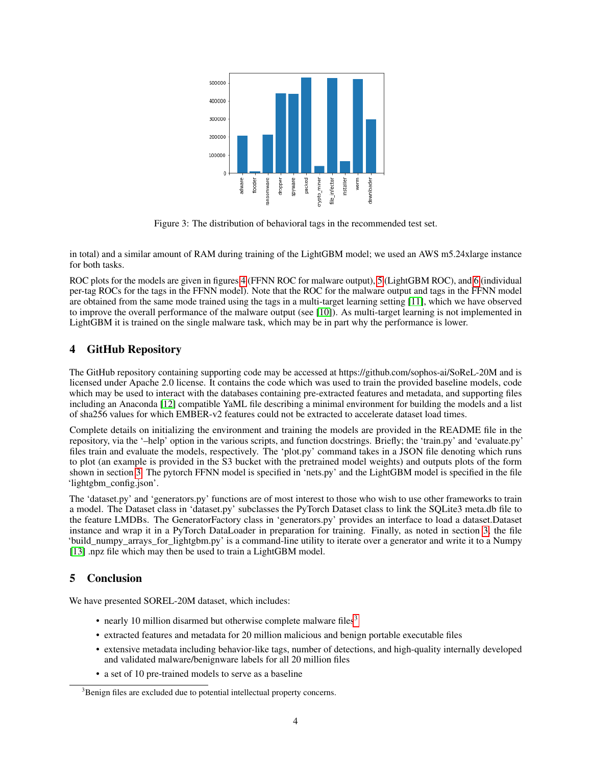

<span id="page-3-1"></span>Figure 3: The distribution of behavioral tags in the recommended test set.

in total) and a similar amount of RAM during training of the LightGBM model; we used an AWS m5.24xlarge instance for both tasks.

ROC plots for the models are given in figures [4](#page-4-3) (FFNN ROC for malware output), [5](#page-5-7) (LightGBM ROC), and [6](#page-6-0) (individual per-tag ROCs for the tags in the FFNN model). Note that the ROC for the malware output and tags in the FFNN model are obtained from the same mode trained using the tags in a multi-target learning setting [\[11\]](#page-5-8), which we have observed to improve the overall performance of the malware output (see [\[10\]](#page-5-6)). As multi-target learning is not implemented in LightGBM it is trained on the single malware task, which may be in part why the performance is lower.

# <span id="page-3-0"></span>4 GitHub Repository

The GitHub repository containing supporting code may be accessed at https://github.com/sophos-ai/SoReL-20M and is licensed under Apache 2.0 license. It contains the code which was used to train the provided baseline models, code which may be used to interact with the databases containing pre-extracted features and metadata, and supporting files including an Anaconda [\[12\]](#page-6-1) compatible YaML file describing a minimal environment for building the models and a list of sha256 values for which EMBER-v2 features could not be extracted to accelerate dataset load times.

Complete details on initializing the environment and training the models are provided in the README file in the repository, via the '–help' option in the various scripts, and function docstrings. Briefly; the 'train.py' and 'evaluate.py' files train and evaluate the models, respectively. The 'plot.py' command takes in a JSON file denoting which runs to plot (an example is provided in the S3 bucket with the pretrained model weights) and outputs plots of the form shown in section [3.](#page-2-2) The pytorch FFNN model is specified in 'nets.py' and the LightGBM model is specified in the file 'lightgbm\_config.json'.

The 'dataset.py' and 'generators.py' functions are of most interest to those who wish to use other frameworks to train a model. The Dataset class in 'dataset.py' subclasses the PyTorch Dataset class to link the SQLite3 meta.db file to the feature LMDBs. The GeneratorFactory class in 'generators.py' provides an interface to load a dataset.Dataset instance and wrap it in a PyTorch DataLoader in preparation for training. Finally, as noted in section [3,](#page-2-2) the file 'build\_numpy\_arrays\_for\_lightgbm.py' is a command-line utility to iterate over a generator and write it to a Numpy [\[13\]](#page-6-2) .npz file which may then be used to train a LightGBM model.

# 5 Conclusion

We have presented SOREL-20M dataset, which includes:

- nearly 10 million disarmed but otherwise complete malware files $3$
- extracted features and metadata for 20 million malicious and benign portable executable files
- extensive metadata including behavior-like tags, number of detections, and high-quality internally developed and validated malware/benignware labels for all 20 million files
- a set of 10 pre-trained models to serve as a baseline

<span id="page-3-2"></span><sup>&</sup>lt;sup>3</sup>Benign files are excluded due to potential intellectual property concerns.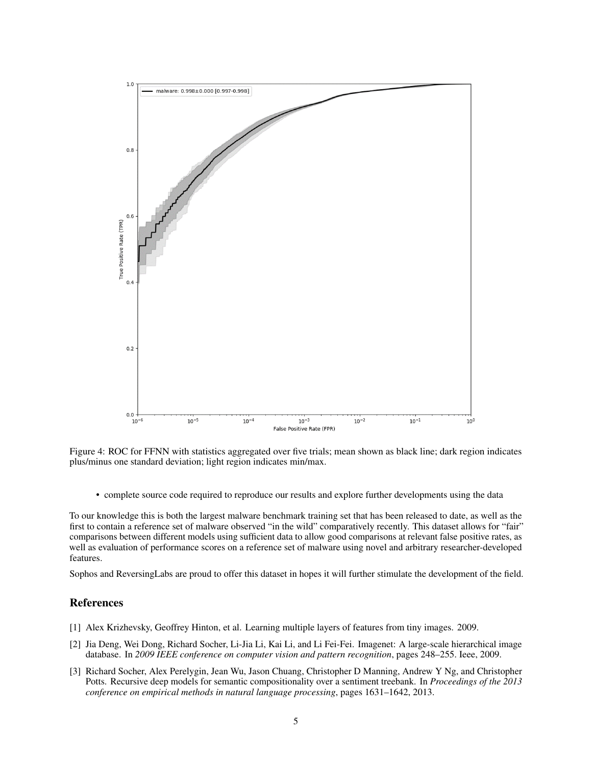

<span id="page-4-3"></span>Figure 4: ROC for FFNN with statistics aggregated over five trials; mean shown as black line; dark region indicates plus/minus one standard deviation; light region indicates min/max.

• complete source code required to reproduce our results and explore further developments using the data

To our knowledge this is both the largest malware benchmark training set that has been released to date, as well as the first to contain a reference set of malware observed "in the wild" comparatively recently. This dataset allows for "fair" comparisons between different models using sufficient data to allow good comparisons at relevant false positive rates, as well as evaluation of performance scores on a reference set of malware using novel and arbitrary researcher-developed features.

Sophos and ReversingLabs are proud to offer this dataset in hopes it will further stimulate the development of the field.

## References

- <span id="page-4-0"></span>[1] Alex Krizhevsky, Geoffrey Hinton, et al. Learning multiple layers of features from tiny images. 2009.
- <span id="page-4-1"></span>[2] Jia Deng, Wei Dong, Richard Socher, Li-Jia Li, Kai Li, and Li Fei-Fei. Imagenet: A large-scale hierarchical image database. In *2009 IEEE conference on computer vision and pattern recognition*, pages 248–255. Ieee, 2009.
- <span id="page-4-2"></span>[3] Richard Socher, Alex Perelygin, Jean Wu, Jason Chuang, Christopher D Manning, Andrew Y Ng, and Christopher Potts. Recursive deep models for semantic compositionality over a sentiment treebank. In *Proceedings of the 2013 conference on empirical methods in natural language processing*, pages 1631–1642, 2013.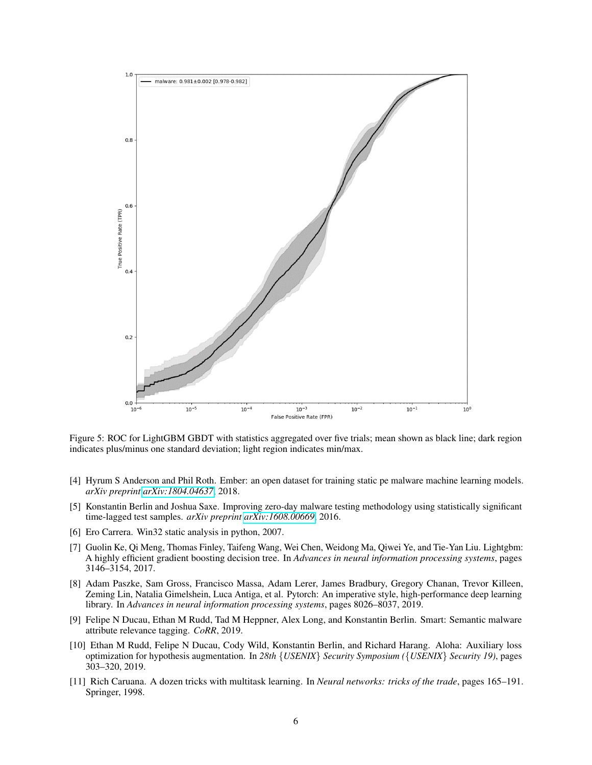

<span id="page-5-7"></span>Figure 5: ROC for LightGBM GBDT with statistics aggregated over five trials; mean shown as black line; dark region indicates plus/minus one standard deviation; light region indicates min/max.

- <span id="page-5-0"></span>[4] Hyrum S Anderson and Phil Roth. Ember: an open dataset for training static pe malware machine learning models. *arXiv preprint [arXiv:1804.04637](http://arxiv.org/abs/1804.04637)*, 2018.
- <span id="page-5-1"></span>[5] Konstantin Berlin and Joshua Saxe. Improving zero-day malware testing methodology using statistically significant time-lagged test samples. *arXiv preprint [arXiv:1608.00669](http://arxiv.org/abs/1608.00669)*, 2016.
- <span id="page-5-2"></span>[6] Ero Carrera. Win32 static analysis in python, 2007.
- <span id="page-5-3"></span>[7] Guolin Ke, Qi Meng, Thomas Finley, Taifeng Wang, Wei Chen, Weidong Ma, Qiwei Ye, and Tie-Yan Liu. Lightgbm: A highly efficient gradient boosting decision tree. In *Advances in neural information processing systems*, pages 3146–3154, 2017.
- <span id="page-5-4"></span>[8] Adam Paszke, Sam Gross, Francisco Massa, Adam Lerer, James Bradbury, Gregory Chanan, Trevor Killeen, Zeming Lin, Natalia Gimelshein, Luca Antiga, et al. Pytorch: An imperative style, high-performance deep learning library. In *Advances in neural information processing systems*, pages 8026–8037, 2019.
- <span id="page-5-5"></span>[9] Felipe N Ducau, Ethan M Rudd, Tad M Heppner, Alex Long, and Konstantin Berlin. Smart: Semantic malware attribute relevance tagging. *CoRR*, 2019.
- <span id="page-5-6"></span>[10] Ethan M Rudd, Felipe N Ducau, Cody Wild, Konstantin Berlin, and Richard Harang. Aloha: Auxiliary loss optimization for hypothesis augmentation. In *28th* {*USENIX*} *Security Symposium (*{*USENIX*} *Security 19)*, pages 303–320, 2019.
- <span id="page-5-8"></span>[11] Rich Caruana. A dozen tricks with multitask learning. In *Neural networks: tricks of the trade*, pages 165–191. Springer, 1998.